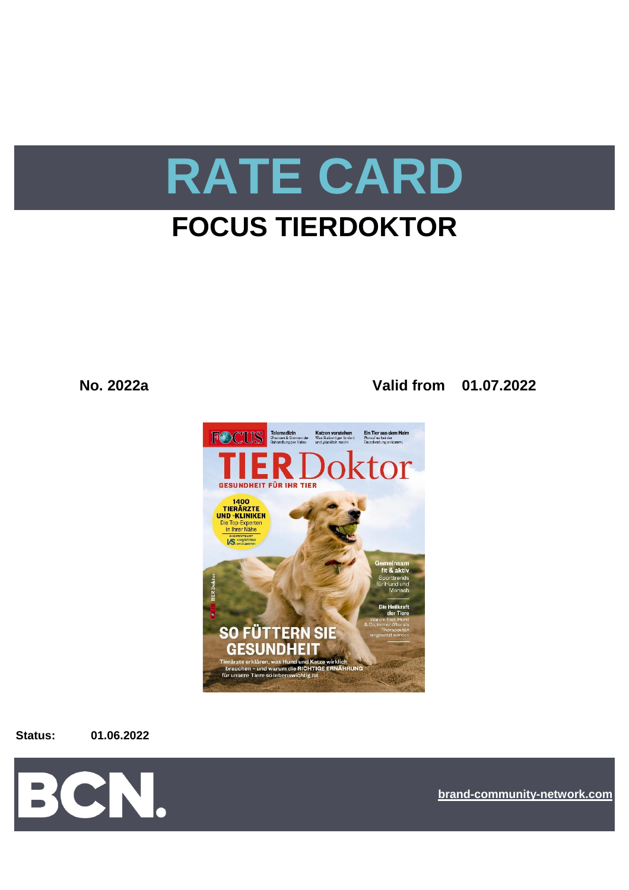

# **FOCUS TIERDOKTOR**

**No. 2022a Valid from 01.07.2022**



**Status: 01.06.2022**



**[bra](https://bcn.burda.com/)nd-community-network.com**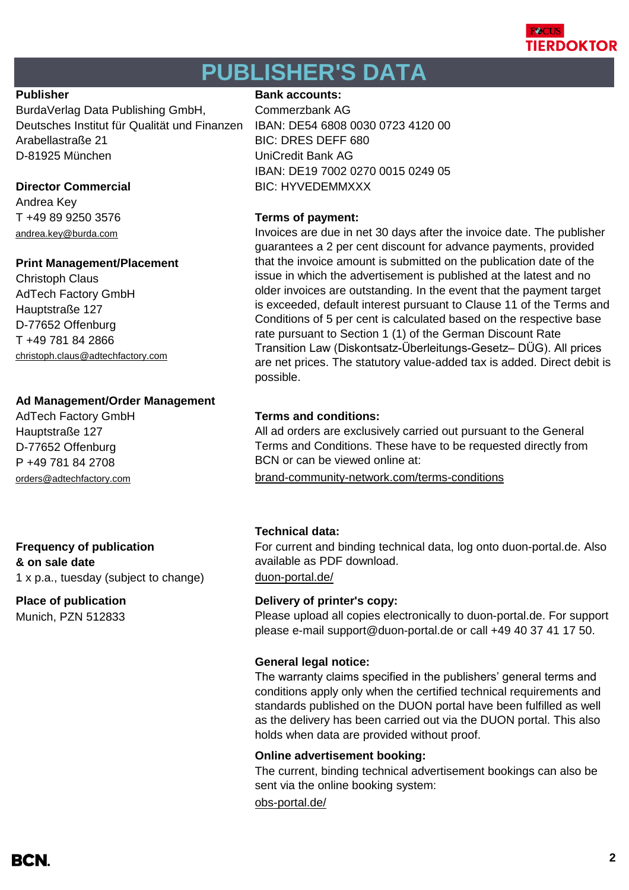

# **PUBLISHER'S DATA**

BurdaVerlag Data Publishing GmbH, Commerzbank AG Deutsches Institut für Qualität und Finanzen IBAN: DE54 6808 0030 0723 4120 00 Arabellastraße 21 BIC: DRES DEFF 680 D-81925 München UniCredit Bank AG

Andrea Key T +49 89 9250 3576 **Terms of payment:** andrea.key@burda.com

## **Print Management/Placement**

Christoph Claus AdTech Factory GmbH Hauptstraße 127 D-77652 Offenburg T +49 781 84 2866 [christoph.claus@adtechfactory.com](mailto:christoph.claus@adtechfactory.com)

## **Ad Management/Order Management**

Hauptstraße 127 D-77652 Offenburg P +49 781 84 2708

### **Frequency of publication & on sale date**

1 x p.a., tuesday (subject to change) [duon-portal.de/](https://duon-portal.de/)

Munich, PZN 512833

## **Publisher Bank accounts: Bank accounts:**

IBAN: DE19 7002 0270 0015 0249 05 **Director Commercial BIC: HYVEDEMMXXX** 

Invoices are due in net 30 days after the invoice date. The publisher guarantees a 2 per cent discount for advance payments, provided that the invoice amount is submitted on the publication date of the issue in which the advertisement is published at the latest and no older invoices are outstanding. In the event that the payment target is exceeded, default interest pursuant to Clause 11 of the Terms and Conditions of 5 per cent is calculated based on the respective base rate pursuant to Section 1 (1) of the German Discount Rate Transition Law (Diskontsatz-Überleitungs-Gesetz– DÜG). All prices are net prices. The statutory value-added tax is added. Direct debit is possible.

## AdTech Factory GmbH **Terms and conditions:**

All ad orders are exclusively carried out pursuant to the General Terms and Conditions. These have to be requested directly from BCN or can be viewed online at:

[orders@adtechfactory.com](https://duon-portal.de/) [brand-community-network.com/terms-conditions](https://bcn.burda.com/terms-conditions)

## **Technical data:**

For current and binding technical data, log onto duon-portal.de. Also available as PDF download.

## **Place of publication Delivery of printer's copy:**

Please upload all copies electronically to duon-portal.de. For support please e-mail support@duon-portal.de or call +49 40 37 41 17 50.

## **General legal notice:**

The warranty claims specified in the publishers' general terms and conditions apply only when the certified technical requirements and standards published on the DUON portal have been fulfilled as well as the delivery has been carried out via the DUON portal. This also holds when data are provided without proof.

## **Online advertisement booking:**

The current, binding technical advertisement bookings can also be sent via the online booking system:

[obs-portal.de/](https://www.obs-portal.de/)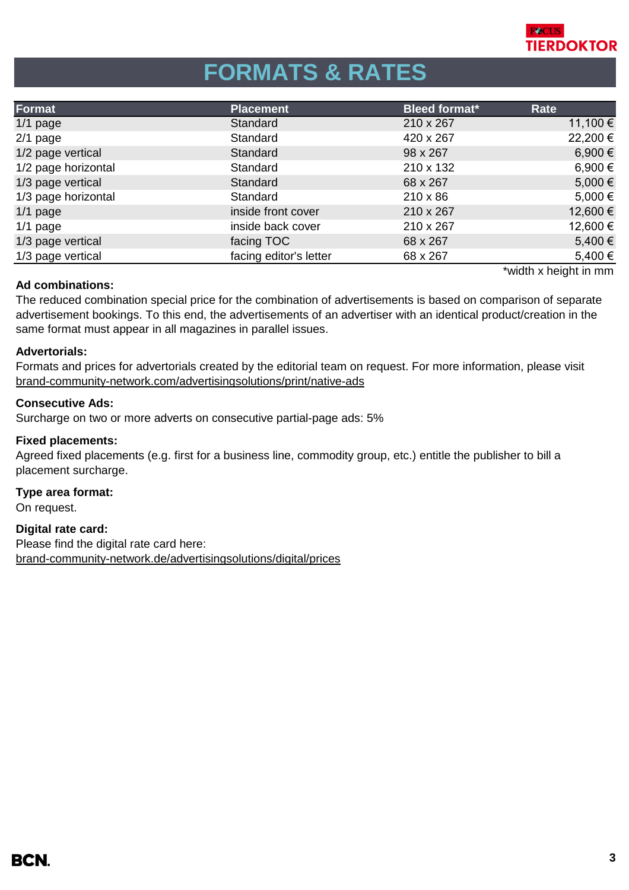

# **FORMATS & RATES**

| Format              | <b>Placement</b>       | <b>Bleed format*</b> | Rate        |
|---------------------|------------------------|----------------------|-------------|
| $1/1$ page          | Standard               | 210 x 267            | 11,100 €    |
| $2/1$ page          | Standard               | 420 x 267            | 22,200 €    |
| 1/2 page vertical   | Standard               | 98 x 267             | 6,900 €     |
| 1/2 page horizontal | Standard               | 210 x 132            | 6,900 €     |
| 1/3 page vertical   | Standard               | 68 x 267             | $5,000 \in$ |
| 1/3 page horizontal | Standard               | $210 \times 86$      | $5,000 \in$ |
| $1/1$ page          | inside front cover     | 210 x 267            | 12,600 €    |
| $1/1$ page          | inside back cover      | 210 x 267            | 12,600 €    |
| 1/3 page vertical   | facing TOC             | 68 x 267             | 5,400 €     |
| 1/3 page vertical   | facing editor's letter | 68 x 267             | 5,400 €     |

\*width x height in mm

## **Ad combinations:**

The reduced combination special price for the combination of advertisements is based on comparison of separate advertisement bookings. To this end, the advertisements of an advertiser with an identical product/creation in the same format must appear in all magazines in parallel issues.

### **Advertorials:**

[brand-community-network.com/advertisin](https://bcn.burda.com/advertisingsolutions/print/native-ads)gsolutions/print/native-ads Formats and prices for advertorials created by the editorial team on request. For more information, please visit

### **Consecutive Ads:**

Surcharge on two or more adverts on consecutive partial-page ads: 5%

### **Fixed placements:**

Agreed fixed placements (e.g. first for a business line, commodity group, etc.) entitle the publisher to bill a placement surcharge.

#### **Type area format:**

On request.

## **Digital rate card:**

Please find the digital rate card here: [brand-community-network.de/advertisingsolutions/digital/prices](https://bcn.burda.com/advertisingsolutions/digital/prices)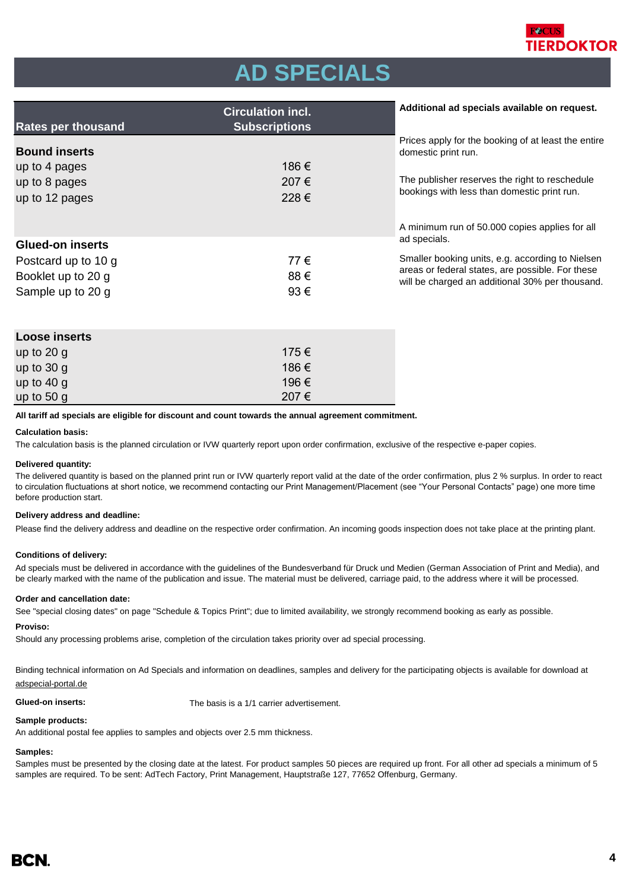

# **AD SPECIALS**

| <b>Rates per thousand</b>                                                | <b>Circulation incl.</b><br><b>Subscriptions</b> | Additional ad specials available on request.                                                                                                                                |
|--------------------------------------------------------------------------|--------------------------------------------------|-----------------------------------------------------------------------------------------------------------------------------------------------------------------------------|
| <b>Bound inserts</b><br>up to 4 pages<br>up to 8 pages<br>up to 12 pages | 186 €<br>207€<br>228€                            | Prices apply for the booking of at least the entire<br>domestic print run.<br>The publisher reserves the right to reschedule<br>bookings with less than domestic print run. |
| <b>Glued-on inserts</b>                                                  |                                                  | A minimum run of 50.000 copies applies for all<br>ad specials.                                                                                                              |
| Postcard up to 10 g<br>Booklet up to 20 g<br>Sample up to 20 g           | 77€<br>88€<br>93€                                | Smaller booking units, e.g. according to Nielsen<br>areas or federal states, are possible. For these<br>will be charged an additional 30% per thousand.                     |

| Loose inserts |       |  |  |  |
|---------------|-------|--|--|--|
| up to $20 g$  | 175 € |  |  |  |
| up to $30 g$  | 186 € |  |  |  |
| up to $40 g$  | 196 € |  |  |  |
| up to $50 g$  | 207€  |  |  |  |

**All tariff ad specials are eligible for discount and count towards the annual agreement commitment.**

#### **Calculation basis:**

The calculation basis is the planned circulation or IVW quarterly report upon order confirmation, exclusive of the respective e-paper copies.

#### **Delivered quantity:**

The delivered quantity is based on the planned print run or IVW quarterly report valid at the date of the order confirmation, plus 2 % surplus. In order to react to circulation fluctuations at short notice, we recommend contacting our Print Management/Placement (see "Your Personal Contacts" page) one more time before production start.

#### **Delivery address and deadline:**

Please find the delivery address and deadline on the respective order confirmation. An incoming goods inspection does not take place at the printing plant.

#### **Conditions of delivery:**

Ad specials must be delivered in accordance with the guidelines of the Bundesverband für Druck und Medien (German Association of Print and Media), and be clearly marked with the name of the publication and issue. The material must be delivered, carriage paid, to the address where it will be processed.

#### **Order and cancellation date:**

See "special closing dates" on page "Schedule & Topics Print"; due to limited availability, we strongly recommend booking as early as possible.

#### **Proviso:**

Should any processing problems arise, completion of the circulation takes priority over ad special processing.

Binding technical information on Ad Specials and information on deadlines, samples and delivery for the participating objects is available for download at adspecial-portal.de

**Glued-on inserts:** The basis is a 1/1 carrier advertisement.

#### **Sample products:**

An additional postal fee applies to samples and objects over 2.5 mm thickness.

#### **Samples:**

Samples must be presented by the closing date at the latest. For product samples 50 pieces are required up front. For all other ad specials a minimum of 5 samples are required. To be sent: AdTech Factory, Print Management, Hauptstraße 127, 77652 Offenburg, Germany.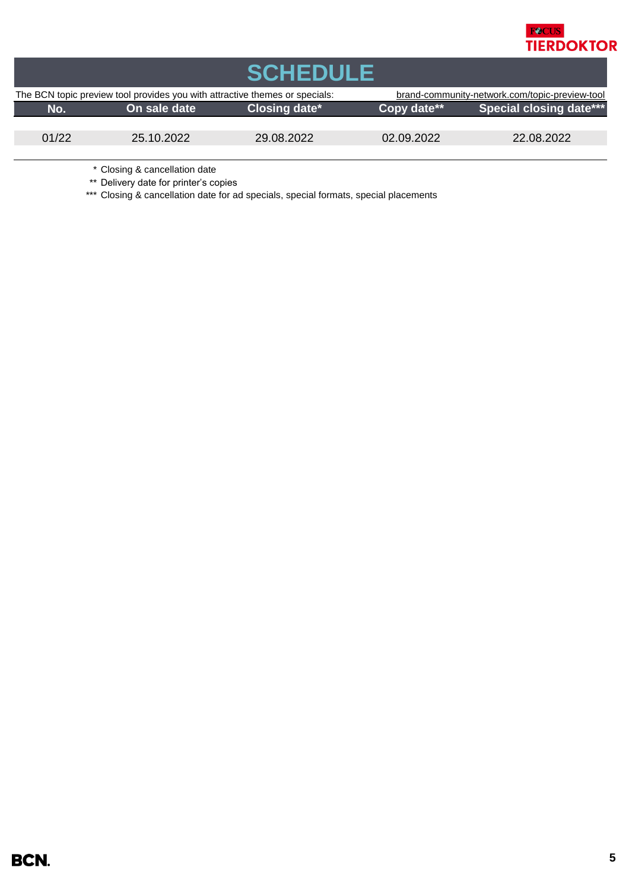

| <b>SCHEDULE</b>                                                             |              |                        |                                                |                                |  |  |
|-----------------------------------------------------------------------------|--------------|------------------------|------------------------------------------------|--------------------------------|--|--|
| The BCN topic preview tool provides you with attractive themes or specials: |              |                        | brand-community-network.com/topic-preview-tool |                                |  |  |
| No.                                                                         | On sale date | <b>Closing date*</b> \ | Copy date**                                    | <b>Special closing date***</b> |  |  |
|                                                                             |              |                        |                                                |                                |  |  |
| 01/22                                                                       | 25.10.2022   | 29.08.2022             | 02.09.2022                                     | 22.08.2022                     |  |  |
|                                                                             |              |                        |                                                |                                |  |  |

\* Closing & cancellation date

\*\* Delivery date for printer's copies

\*\*\* Closing & cancellation date for ad specials, special formats, special placements